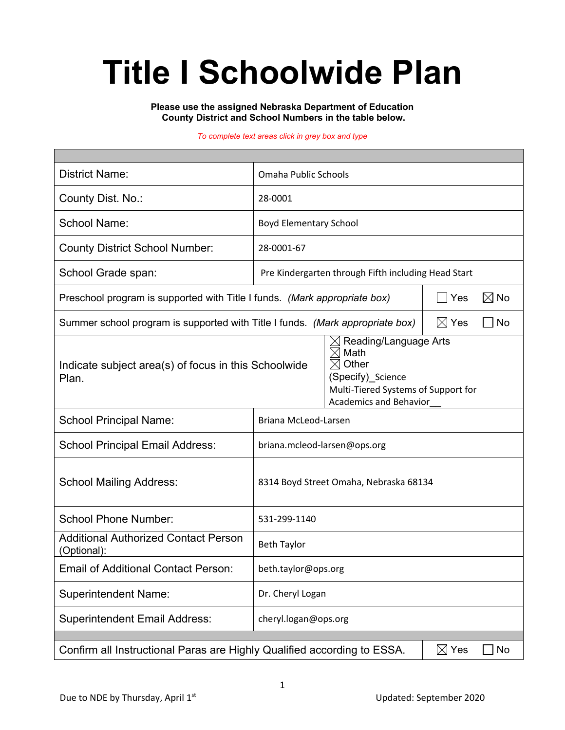# **Title I Schoolwide Plan**

**Please use the assigned Nebraska Department of Education County District and School Numbers in the table below.**

#### *To complete text areas click in grey box and type*

| <b>District Name:</b>                                                                            | Omaha Public Schools                                |                                                                                                                                                       |  |                |  |
|--------------------------------------------------------------------------------------------------|-----------------------------------------------------|-------------------------------------------------------------------------------------------------------------------------------------------------------|--|----------------|--|
| County Dist. No.:                                                                                | 28-0001                                             |                                                                                                                                                       |  |                |  |
| <b>School Name:</b>                                                                              | <b>Boyd Elementary School</b>                       |                                                                                                                                                       |  |                |  |
| <b>County District School Number:</b>                                                            | 28-0001-67                                          |                                                                                                                                                       |  |                |  |
| School Grade span:                                                                               | Pre Kindergarten through Fifth including Head Start |                                                                                                                                                       |  |                |  |
| Preschool program is supported with Title I funds. (Mark appropriate box)                        | Yes                                                 |                                                                                                                                                       |  | $\boxtimes$ No |  |
| Summer school program is supported with Title I funds. (Mark appropriate box)<br>$\boxtimes$ Yes |                                                     |                                                                                                                                                       |  | No<br>$\sim$   |  |
| Indicate subject area(s) of focus in this Schoolwide<br>Plan.                                    |                                                     | Reading/Language Arts<br>Math<br>IX<br>Other<br>$\times$<br>(Specify) Science<br>Multi-Tiered Systems of Support for<br><b>Academics and Behavior</b> |  |                |  |
| <b>School Principal Name:</b>                                                                    | Briana McLeod-Larsen                                |                                                                                                                                                       |  |                |  |
| <b>School Principal Email Address:</b>                                                           | briana.mcleod-larsen@ops.org                        |                                                                                                                                                       |  |                |  |
| <b>School Mailing Address:</b>                                                                   | 8314 Boyd Street Omaha, Nebraska 68134              |                                                                                                                                                       |  |                |  |
| <b>School Phone Number:</b>                                                                      | 531-299-1140                                        |                                                                                                                                                       |  |                |  |
| <b>Additional Authorized Contact Person</b><br>(Optional):                                       | <b>Beth Taylor</b>                                  |                                                                                                                                                       |  |                |  |
| <b>Email of Additional Contact Person:</b>                                                       | beth.taylor@ops.org                                 |                                                                                                                                                       |  |                |  |
| <b>Superintendent Name:</b>                                                                      | Dr. Cheryl Logan                                    |                                                                                                                                                       |  |                |  |
| <b>Superintendent Email Address:</b>                                                             | cheryl.logan@ops.org                                |                                                                                                                                                       |  |                |  |
| Confirm all Instructional Paras are Highly Qualified according to ESSA.<br>$\boxtimes$ Yes<br>No |                                                     |                                                                                                                                                       |  |                |  |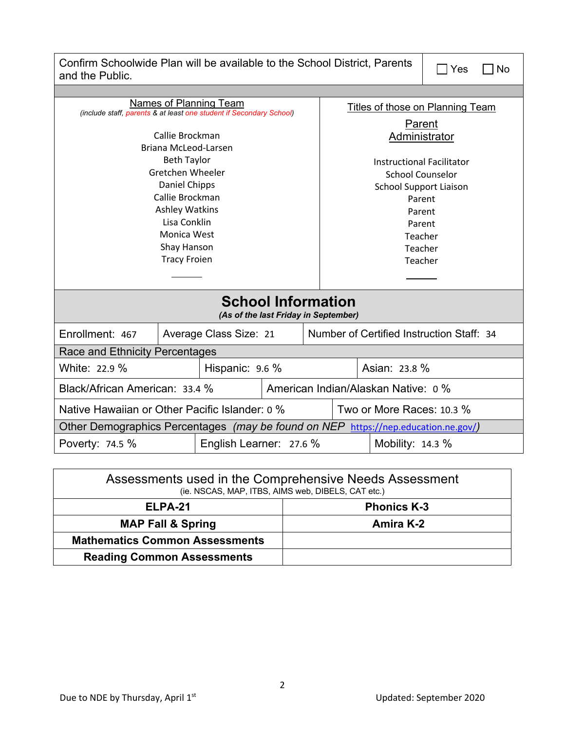| Confirm Schoolwide Plan will be available to the School District, Parents<br>and the Public.  |                 |  |                                           |                                     | Yes     | No. |  |  |
|-----------------------------------------------------------------------------------------------|-----------------|--|-------------------------------------------|-------------------------------------|---------|-----|--|--|
|                                                                                               |                 |  |                                           |                                     |         |     |  |  |
| Names of Planning Team<br>(include staff, parents & at least one student if Secondary School) |                 |  | Titles of those on Planning Team          |                                     |         |     |  |  |
|                                                                                               |                 |  | Parent                                    |                                     |         |     |  |  |
| Callie Brockman                                                                               |                 |  |                                           | Administrator                       |         |     |  |  |
| Briana McLeod-Larsen                                                                          |                 |  |                                           |                                     |         |     |  |  |
| <b>Beth Taylor</b>                                                                            |                 |  |                                           | <b>Instructional Facilitator</b>    |         |     |  |  |
| Gretchen Wheeler                                                                              |                 |  |                                           | <b>School Counselor</b>             |         |     |  |  |
| Daniel Chipps                                                                                 |                 |  |                                           | <b>School Support Liaison</b>       |         |     |  |  |
|                                                                                               | Callie Brockman |  |                                           |                                     | Parent  |     |  |  |
| <b>Ashley Watkins</b>                                                                         |                 |  |                                           | Parent                              |         |     |  |  |
| Lisa Conklin                                                                                  |                 |  |                                           | Parent                              |         |     |  |  |
|                                                                                               | Monica West     |  |                                           |                                     | Teacher |     |  |  |
|                                                                                               | Shay Hanson     |  |                                           |                                     | Teacher |     |  |  |
| <b>Tracy Froien</b>                                                                           |                 |  |                                           | Teacher                             |         |     |  |  |
|                                                                                               |                 |  |                                           |                                     |         |     |  |  |
| <b>School Information</b><br>(As of the last Friday in September)                             |                 |  |                                           |                                     |         |     |  |  |
| Enrollment: 467<br>Average Class Size: 21                                                     |                 |  | Number of Certified Instruction Staff: 34 |                                     |         |     |  |  |
| Race and Ethnicity Percentages                                                                |                 |  |                                           |                                     |         |     |  |  |
| White: 22.9 %<br>Hispanic: 9.6 %                                                              |                 |  |                                           | Asian: 23.8 %                       |         |     |  |  |
| Black/African American: 33.4 %                                                                |                 |  |                                           | American Indian/Alaskan Native: 0 % |         |     |  |  |
| Native Hawaiian or Other Pacific Islander: 0 %                                                |                 |  |                                           | Two or More Races: 10.3 %           |         |     |  |  |
| Other Demographics Percentages (may be found on NEP https://nep.education.ne.gov/)            |                 |  |                                           |                                     |         |     |  |  |
| Poverty: 74.5 %<br>English Learner: 27.6 %<br>Mobility: $14.3\%$                              |                 |  |                                           |                                     |         |     |  |  |

| Assessments used in the Comprehensive Needs Assessment<br>(ie. NSCAS, MAP, ITBS, AIMS web, DIBELS, CAT etc.) |                    |  |  |  |
|--------------------------------------------------------------------------------------------------------------|--------------------|--|--|--|
| ELPA-21                                                                                                      | <b>Phonics K-3</b> |  |  |  |
| <b>MAP Fall &amp; Spring</b>                                                                                 | <b>Amira K-2</b>   |  |  |  |
| <b>Mathematics Common Assessments</b>                                                                        |                    |  |  |  |
| <b>Reading Common Assessments</b>                                                                            |                    |  |  |  |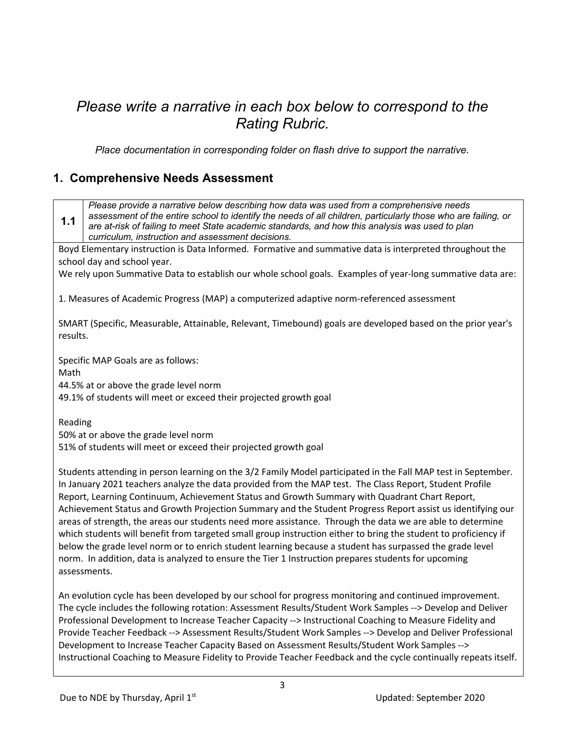## *Please write a narrative in each box below to correspond to the Rating Rubric.*

*Place documentation in corresponding folder on flash drive to support the narrative.*

#### **1. Comprehensive Needs Assessment**

**1.1** *Please provide a narrative below describing how data was used from a comprehensive needs assessment of the entire school to identify the needs of all children, particularly those who are failing, or are at-risk of failing to meet State academic standards, and how this analysis was used to plan curriculum, instruction and assessment decisions.* Boyd Elementary instruction is Data Informed. Formative and summative data is interpreted throughout the school day and school year. We rely upon Summative Data to establish our whole school goals. Examples of year-long summative data are: 1. Measures of Academic Progress (MAP) a computerized adaptive norm-referenced assessment SMART (Specific, Measurable, Attainable, Relevant, Timebound) goals are developed based on the prior year's results. Specific MAP Goals are as follows: Math 44.5% at or above the grade level norm 49.1% of students will meet or exceed their projected growth goal Reading 50% at or above the grade level norm 51% of students will meet or exceed their projected growth goal Students attending in person learning on the 3/2 Family Model participated in the Fall MAP test in September. In January 2021 teachers analyze the data provided from the MAP test. The Class Report, Student Profile Report, Learning Continuum, Achievement Status and Growth Summary with Quadrant Chart Report, Achievement Status and Growth Projection Summary and the Student Progress Report assist us identifying our areas of strength, the areas our students need more assistance. Through the data we are able to determine which students will benefit from targeted small group instruction either to bring the student to proficiency if below the grade level norm or to enrich student learning because a student has surpassed the grade level norm. In addition, data is analyzed to ensure the Tier 1 Instruction prepares students for upcoming assessments. An evolution cycle has been developed by our school for progress monitoring and continued improvement. The cycle includes the following rotation: Assessment Results/Student Work Samples --> Develop and Deliver Professional Development to Increase Teacher Capacity --> Instructional Coaching to Measure Fidelity and Provide Teacher Feedback --> Assessment Results/Student Work Samples --> Develop and Deliver Professional Development to Increase Teacher Capacity Based on Assessment Results/Student Work Samples -->

Instructional Coaching to Measure Fidelity to Provide Teacher Feedback and the cycle continually repeats itself.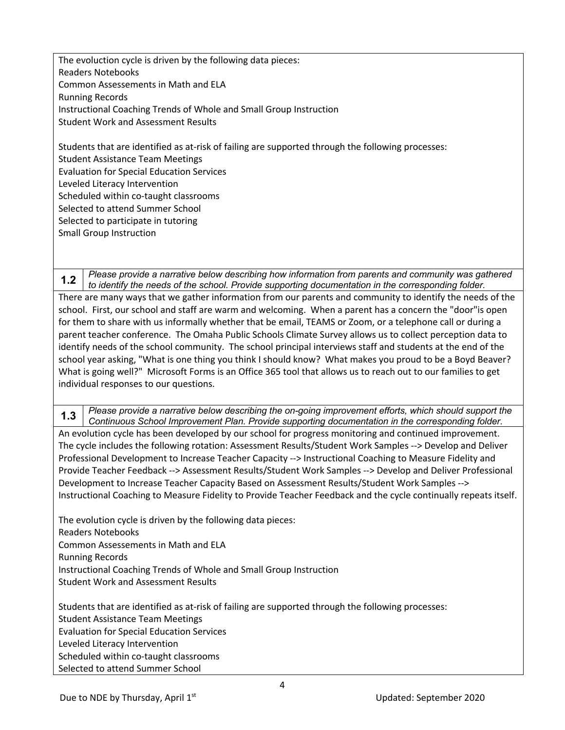The evoluction cycle is driven by the following data pieces: Readers Notebooks Common Assessements in Math and ELA Running Records Instructional Coaching Trends of Whole and Small Group Instruction Student Work and Assessment Results

Students that are identified as at-risk of failing are supported through the following processes: Student Assistance Team Meetings Evaluation for Special Education Services Leveled Literacy Intervention Scheduled within co-taught classrooms Selected to attend Summer School Selected to participate in tutoring Small Group Instruction

**1.2** *Please provide a narrative below describing how information from parents and community was gathered to identify the needs of the school. Provide supporting documentation in the corresponding folder.* There are many ways that we gather information from our parents and community to identify the needs of the school. First, our school and staff are warm and welcoming. When a parent has a concern the "door"is open for them to share with us informally whether that be email, TEAMS or Zoom, or a telephone call or during a parent teacher conference. The Omaha Public Schools Climate Survey allows us to collect perception data to identify needs of the school community. The school principal interviews staff and students at the end of the school year asking, "What is one thing you think I should know? What makes you proud to be a Boyd Beaver? What is going well?" Microsoft Forms is an Office 365 tool that allows us to reach out to our families to get individual responses to our questions.

**1.3** *Please provide a narrative below describing the on-going improvement efforts, which should support the Continuous School Improvement Plan. Provide supporting documentation in the corresponding folder.* An evolution cycle has been developed by our school for progress monitoring and continued improvement. The cycle includes the following rotation: Assessment Results/Student Work Samples --> Develop and Deliver Professional Development to Increase Teacher Capacity --> Instructional Coaching to Measure Fidelity and Provide Teacher Feedback --> Assessment Results/Student Work Samples --> Develop and Deliver Professional Development to Increase Teacher Capacity Based on Assessment Results/Student Work Samples --> Instructional Coaching to Measure Fidelity to Provide Teacher Feedback and the cycle continually repeats itself.

The evolution cycle is driven by the following data pieces: Readers Notebooks Common Assessements in Math and ELA Running Records Instructional Coaching Trends of Whole and Small Group Instruction Student Work and Assessment Results

Students that are identified as at-risk of failing are supported through the following processes: Student Assistance Team Meetings Evaluation for Special Education Services Leveled Literacy Intervention Scheduled within co-taught classrooms Selected to attend Summer School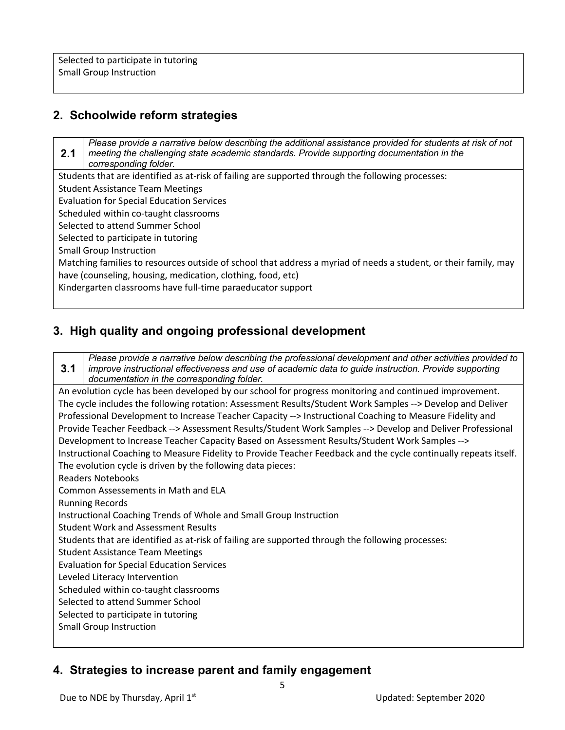#### **2. Schoolwide reform strategies**

**2.1** *Please provide a narrative below describing the additional assistance provided for students at risk of not meeting the challenging state academic standards. Provide supporting documentation in the corresponding folder.* Students that are identified as at-risk of failing are supported through the following processes: Student Assistance Team Meetings Evaluation for Special Education Services Scheduled within co-taught classrooms Selected to attend Summer School Selected to participate in tutoring Small Group Instruction Matching families to resources outside of school that address a myriad of needs a student, or their family, may have (counseling, housing, medication, clothing, food, etc) Kindergarten classrooms have full-time paraeducator support

#### **3. High quality and ongoing professional development**

**3.1** *Please provide a narrative below describing the professional development and other activities provided to improve instructional effectiveness and use of academic data to guide instruction. Provide supporting documentation in the corresponding folder.* An evolution cycle has been developed by our school for progress monitoring and continued improvement. The cycle includes the following rotation: Assessment Results/Student Work Samples --> Develop and Deliver Professional Development to Increase Teacher Capacity --> Instructional Coaching to Measure Fidelity and Provide Teacher Feedback --> Assessment Results/Student Work Samples --> Develop and Deliver Professional Development to Increase Teacher Capacity Based on Assessment Results/Student Work Samples --> Instructional Coaching to Measure Fidelity to Provide Teacher Feedback and the cycle continually repeats itself. The evolution cycle is driven by the following data pieces: Readers Notebooks Common Assessements in Math and ELA Running Records Instructional Coaching Trends of Whole and Small Group Instruction Student Work and Assessment Results Students that are identified as at-risk of failing are supported through the following processes: Student Assistance Team Meetings Evaluation for Special Education Services Leveled Literacy Intervention Scheduled within co-taught classrooms Selected to attend Summer School Selected to participate in tutoring Small Group Instruction

#### **4. Strategies to increase parent and family engagement**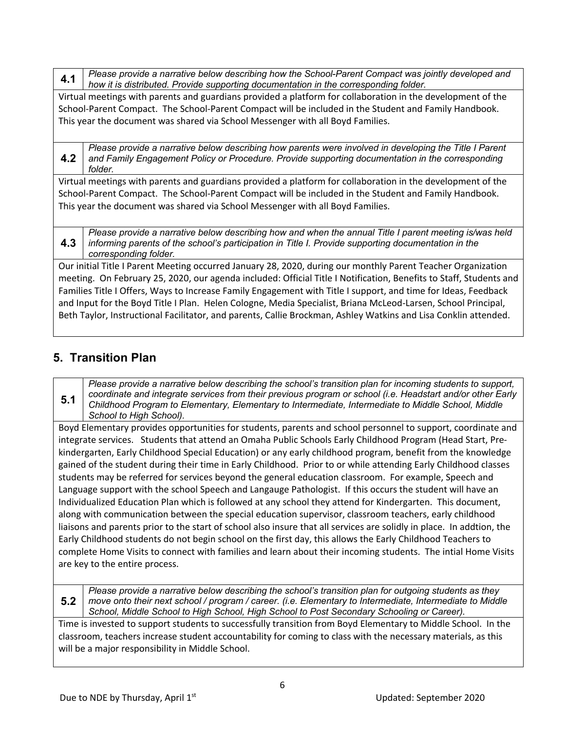**4.1** *Please provide a narrative below describing how the School-Parent Compact was jointly developed and how it is distributed. Provide supporting documentation in the corresponding folder.*

Virtual meetings with parents and guardians provided a platform for collaboration in the development of the School-Parent Compact. The School-Parent Compact will be included in the Student and Family Handbook. This year the document was shared via School Messenger with all Boyd Families.

**4.2** *Please provide a narrative below describing how parents were involved in developing the Title I Parent and Family Engagement Policy or Procedure. Provide supporting documentation in the corresponding folder.*

Virtual meetings with parents and guardians provided a platform for collaboration in the development of the School-Parent Compact. The School-Parent Compact will be included in the Student and Family Handbook. This year the document was shared via School Messenger with all Boyd Families.

**4.3** *Please provide a narrative below describing how and when the annual Title I parent meeting is/was held informing parents of the school's participation in Title I. Provide supporting documentation in the corresponding folder.*

Our initial Title I Parent Meeting occurred January 28, 2020, during our monthly Parent Teacher Organization meeting. On February 25, 2020, our agenda included: Official Title I Notification, Benefits to Staff, Students and Families Title I Offers, Ways to Increase Family Engagement with Title I support, and time for Ideas, Feedback and Input for the Boyd Title I Plan. Helen Cologne, Media Specialist, Briana McLeod-Larsen, School Principal, Beth Taylor, Instructional Facilitator, and parents, Callie Brockman, Ashley Watkins and Lisa Conklin attended.

### **5. Transition Plan**

**5.1**

*Please provide a narrative below describing the school's transition plan for incoming students to support, coordinate and integrate services from their previous program or school (i.e. Headstart and/or other Early Childhood Program to Elementary, Elementary to Intermediate, Intermediate to Middle School, Middle School to High School).*

Boyd Elementary provides opportunities for students, parents and school personnel to support, coordinate and integrate services. Students that attend an Omaha Public Schools Early Childhood Program (Head Start, Prekindergarten, Early Childhood Special Education) or any early childhood program, benefit from the knowledge gained of the student during their time in Early Childhood. Prior to or while attending Early Childhood classes students may be referred for services beyond the general education classroom. For example, Speech and Language support with the school Speech and Langauge Pathologist. If this occurs the student will have an Individualized Education Plan which is followed at any school they attend for Kindergarten. This document, along with communication between the special education supervisor, classroom teachers, early childhood liaisons and parents prior to the start of school also insure that all services are solidly in place. In addtion, the Early Childhood students do not begin school on the first day, this allows the Early Childhood Teachers to complete Home Visits to connect with families and learn about their incoming students. The intial Home Visits are key to the entire process.

**5.2** *Please provide a narrative below describing the school's transition plan for outgoing students as they move onto their next school / program / career. (i.e. Elementary to Intermediate, Intermediate to Middle School, Middle School to High School, High School to Post Secondary Schooling or Career).*

Time is invested to support students to successfully transition from Boyd Elementary to Middle School. In the classroom, teachers increase student accountability for coming to class with the necessary materials, as this will be a major responsibility in Middle School.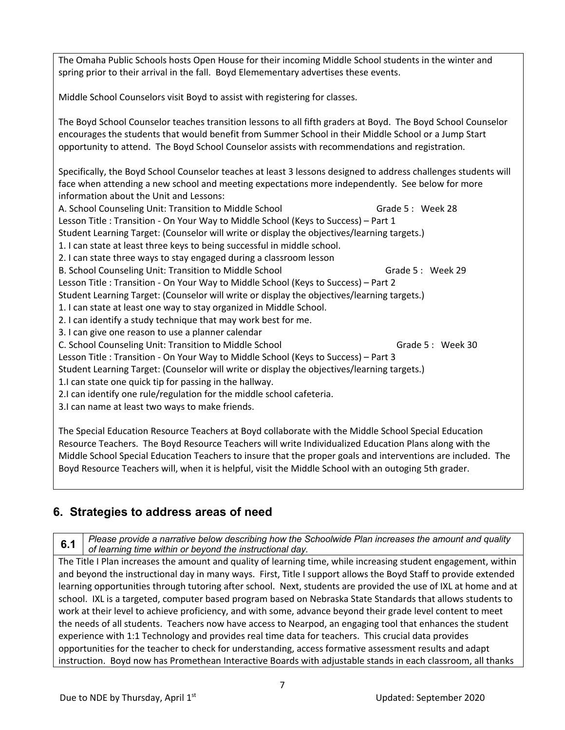The Omaha Public Schools hosts Open House for their incoming Middle School students in the winter and spring prior to their arrival in the fall. Boyd Elemementary advertises these events.

Middle School Counselors visit Boyd to assist with registering for classes.

The Boyd School Counselor teaches transition lessons to all fifth graders at Boyd. The Boyd School Counselor encourages the students that would benefit from Summer School in their Middle School or a Jump Start opportunity to attend. The Boyd School Counselor assists with recommendations and registration.

Specifically, the Boyd School Counselor teaches at least 3 lessons designed to address challenges students will face when attending a new school and meeting expectations more independently. See below for more information about the Unit and Lessons:

A. School Counseling Unit: Transition to Middle School **Grade 5 : Week 28** Lesson Title : Transition - On Your Way to Middle School (Keys to Success) – Part 1

Student Learning Target: (Counselor will write or display the objectives/learning targets.)

1. I can state at least three keys to being successful in middle school.

2. I can state three ways to stay engaged during a classroom lesson

B. School Counseling Unit: Transition to Middle School **Grade 5** : Week 29

Lesson Title : Transition - On Your Way to Middle School (Keys to Success) – Part 2

Student Learning Target: (Counselor will write or display the objectives/learning targets.)

1. I can state at least one way to stay organized in Middle School.

2. I can identify a study technique that may work best for me.

3. I can give one reason to use a planner calendar

C. School Counseling Unit: Transition to Middle School **Grade 5 : Week 30** 

Lesson Title : Transition - On Your Way to Middle School (Keys to Success) – Part 3

Student Learning Target: (Counselor will write or display the objectives/learning targets.)

1.I can state one quick tip for passing in the hallway.

2.I can identify one rule/regulation for the middle school cafeteria.

3.I can name at least two ways to make friends.

The Special Education Resource Teachers at Boyd collaborate with the Middle School Special Education Resource Teachers. The Boyd Resource Teachers will write Individualized Education Plans along with the Middle School Special Education Teachers to insure that the proper goals and interventions are included. The Boyd Resource Teachers will, when it is helpful, visit the Middle School with an outoging 5th grader.

#### **6. Strategies to address areas of need**

**6.1** *Please provide a narrative below describing how the Schoolwide Plan increases the amount and quality of learning time within or beyond the instructional day.* 

The Title I Plan increases the amount and quality of learning time, while increasing student engagement, within and beyond the instructional day in many ways. First, Title I support allows the Boyd Staff to provide extended learning opportunities through tutoring after school. Next, students are provided the use of IXL at home and at school. IXL is a targeted, computer based program based on Nebraska State Standards that allows students to work at their level to achieve proficiency, and with some, advance beyond their grade level content to meet the needs of all students. Teachers now have access to Nearpod, an engaging tool that enhances the student experience with 1:1 Technology and provides real time data for teachers. This crucial data provides opportunities for the teacher to check for understanding, access formative assessment results and adapt instruction. Boyd now has Promethean Interactive Boards with adjustable stands in each classroom, all thanks